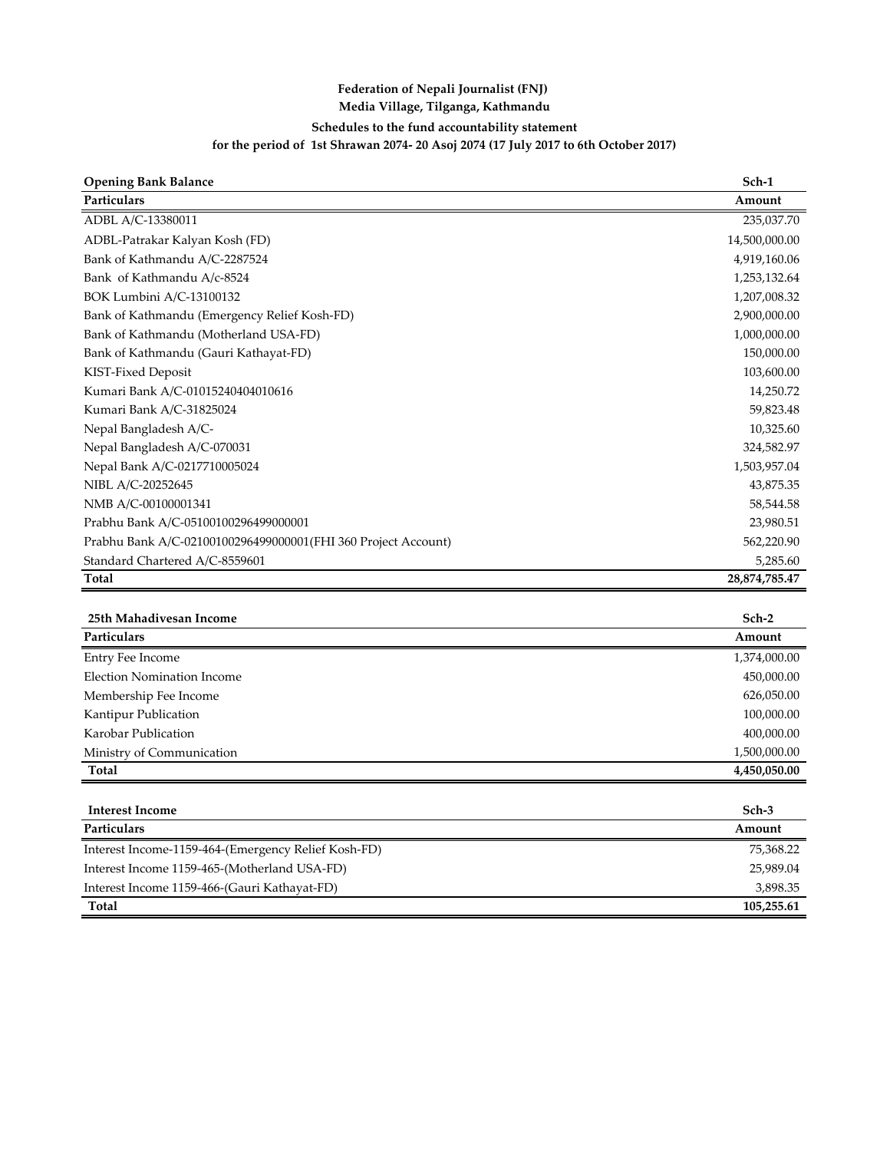## **for the period of 1st Shrawan 2074- 20 Asoj 2074 (17 July 2017 to 6th October 2017) Federation of Nepali Journalist (FNJ) Media Village, Tilganga, Kathmandu Schedules to the fund accountability statement**

| <b>Opening Bank Balance</b>                                   | Sch-1         |
|---------------------------------------------------------------|---------------|
| Particulars                                                   | Amount        |
| ADBL A/C-13380011                                             | 235,037.70    |
| ADBL-Patrakar Kalyan Kosh (FD)                                | 14,500,000.00 |
| Bank of Kathmandu A/C-2287524                                 | 4,919,160.06  |
| Bank of Kathmandu A/c-8524                                    | 1,253,132.64  |
| BOK Lumbini A/C-13100132                                      | 1,207,008.32  |
| Bank of Kathmandu (Emergency Relief Kosh-FD)                  | 2,900,000.00  |
| Bank of Kathmandu (Motherland USA-FD)                         | 1,000,000.00  |
| Bank of Kathmandu (Gauri Kathayat-FD)                         | 150,000.00    |
| KIST-Fixed Deposit                                            | 103,600.00    |
| Kumari Bank A/C-01015240404010616                             | 14,250.72     |
| Kumari Bank A/C-31825024                                      | 59,823.48     |
| Nepal Bangladesh A/C-                                         | 10,325.60     |
| Nepal Bangladesh A/C-070031                                   | 324,582.97    |
| Nepal Bank A/C-0217710005024                                  | 1,503,957.04  |
| NIBL A/C-20252645                                             | 43,875.35     |
| NMB A/C-00100001341                                           | 58,544.58     |
| Prabhu Bank A/C-05100100296499000001                          | 23,980.51     |
| Prabhu Bank A/C-02100100296499000001(FHI 360 Project Account) | 562,220.90    |
| Standard Chartered A/C-8559601                                | 5,285.60      |
| <b>Total</b>                                                  | 28,874,785.47 |
|                                                               |               |
| 25th Mahadivesan Income                                       | Sch-2         |
| <b>Particulars</b>                                            | Amount        |
| Entry Fee Income                                              | 1,374,000.00  |
| <b>Election Nomination Income</b>                             | 450,000.00    |
| Membership Fee Income                                         | 626,050.00    |
| Kantipur Publication                                          | 100,000.00    |

**Total 4,450,050.00**

| Interest Income                                     | Sch-3      |
|-----------------------------------------------------|------------|
| Particulars                                         | Amount     |
| Interest Income-1159-464-(Emergency Relief Kosh-FD) | 75,368.22  |
| Interest Income 1159-465-(Motherland USA-FD)        | 25,989.04  |
| Interest Income 1159-466-(Gauri Kathayat-FD)        | 3,898.35   |
| Total                                               | 105,255.61 |

Karobar Publication 400,000.00 Ministry of Communication 2012 1,500,000.00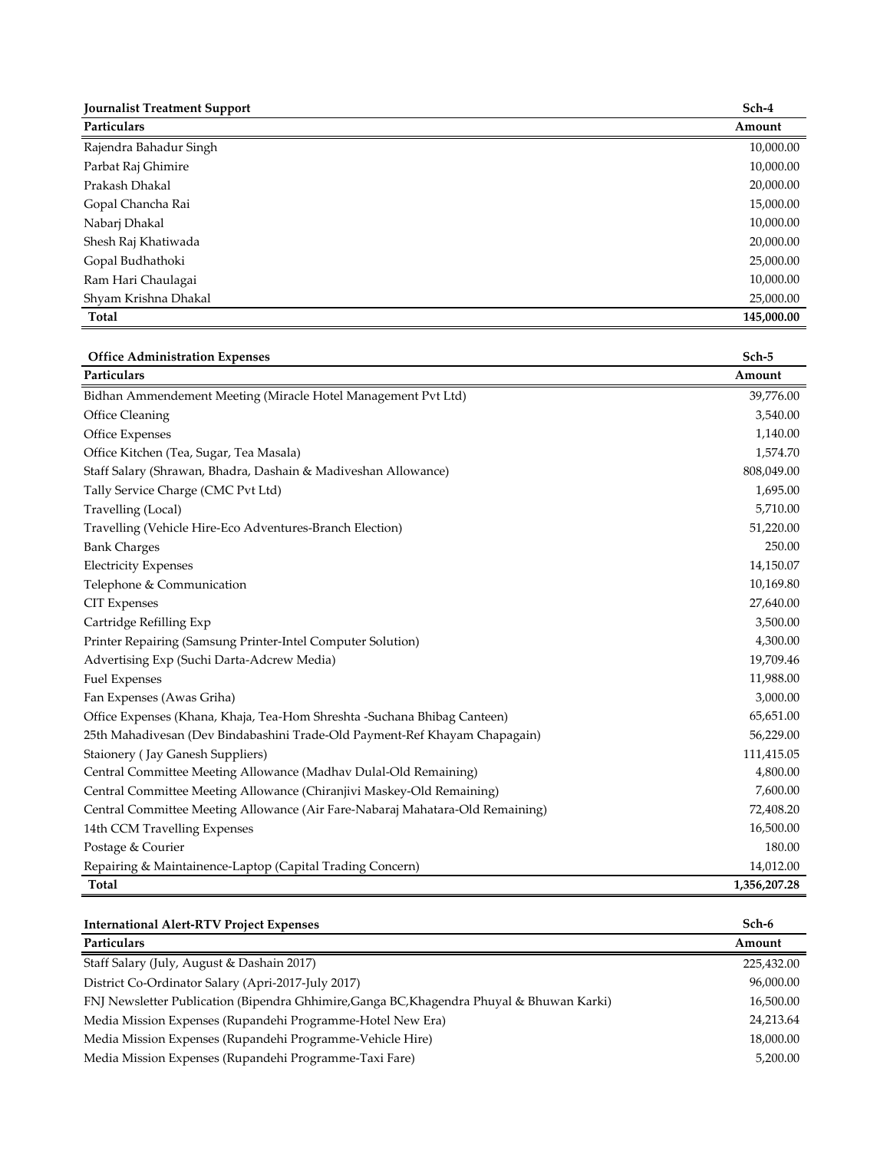| <b>Journalist Treatment Support</b>                                           | Sch-4        |
|-------------------------------------------------------------------------------|--------------|
| Particulars                                                                   | Amount       |
| Rajendra Bahadur Singh                                                        | 10,000.00    |
| Parbat Raj Ghimire                                                            | 10,000.00    |
| Prakash Dhakal                                                                | 20,000.00    |
| Gopal Chancha Rai                                                             | 15,000.00    |
| Nabarj Dhakal                                                                 | 10,000.00    |
| Shesh Raj Khatiwada                                                           | 20,000.00    |
| Gopal Budhathoki                                                              | 25,000.00    |
| Ram Hari Chaulagai                                                            | 10,000.00    |
| Shyam Krishna Dhakal                                                          | 25,000.00    |
| <b>Total</b>                                                                  | 145,000.00   |
|                                                                               |              |
| <b>Office Administration Expenses</b>                                         | Sch-5        |
| Particulars                                                                   | Amount       |
| Bidhan Ammendement Meeting (Miracle Hotel Management Pvt Ltd)                 | 39,776.00    |
| Office Cleaning                                                               | 3,540.00     |
| Office Expenses                                                               | 1,140.00     |
| Office Kitchen (Tea, Sugar, Tea Masala)                                       | 1,574.70     |
| Staff Salary (Shrawan, Bhadra, Dashain & Madiveshan Allowance)                | 808,049.00   |
| Tally Service Charge (CMC Pvt Ltd)                                            | 1,695.00     |
| Travelling (Local)                                                            | 5,710.00     |
| Travelling (Vehicle Hire-Eco Adventures-Branch Election)                      | 51,220.00    |
| <b>Bank Charges</b>                                                           | 250.00       |
| <b>Electricity Expenses</b>                                                   | 14,150.07    |
| Telephone & Communication                                                     | 10,169.80    |
| <b>CIT Expenses</b>                                                           | 27,640.00    |
| Cartridge Refilling Exp                                                       | 3,500.00     |
| Printer Repairing (Samsung Printer-Intel Computer Solution)                   | 4,300.00     |
| Advertising Exp (Suchi Darta-Adcrew Media)                                    | 19,709.46    |
| <b>Fuel Expenses</b>                                                          | 11,988.00    |
| Fan Expenses (Awas Griha)                                                     | 3,000.00     |
| Office Expenses (Khana, Khaja, Tea-Hom Shreshta - Suchana Bhibag Canteen)     | 65,651.00    |
| 25th Mahadivesan (Dev Bindabashini Trade-Old Payment-Ref Khayam Chapagain)    | 56,229.00    |
| Staionery (Jay Ganesh Suppliers)                                              | 111,415.05   |
| Central Committee Meeting Allowance (Madhav Dulal-Old Remaining)              | 4,800.00     |
| Central Committee Meeting Allowance (Chiranjivi Maskey-Old Remaining)         | 7,600.00     |
| Central Committee Meeting Allowance (Air Fare-Nabaraj Mahatara-Old Remaining) | 72,408.20    |
| 14th CCM Travelling Expenses                                                  | 16,500.00    |
| Postage & Courier                                                             | 180.00       |
| Repairing & Maintainence-Laptop (Capital Trading Concern)                     | 14,012.00    |
| <b>Total</b>                                                                  | 1,356,207.28 |

| <b>International Alert-RTV Project Expenses</b>                                           | Sch-6      |
|-------------------------------------------------------------------------------------------|------------|
| Particulars                                                                               | Amount     |
| Staff Salary (July, August & Dashain 2017)                                                | 225,432.00 |
| District Co-Ordinator Salary (Apri-2017-July 2017)                                        | 96,000.00  |
| FNJ Newsletter Publication (Bipendra Ghhimire, Ganga BC, Khagendra Phuyal & Bhuwan Karki) | 16,500.00  |
| Media Mission Expenses (Rupandehi Programme-Hotel New Era)                                | 24,213.64  |
| Media Mission Expenses (Rupandehi Programme-Vehicle Hire)                                 | 18,000.00  |
| Media Mission Expenses (Rupandehi Programme-Taxi Fare)                                    | 5,200.00   |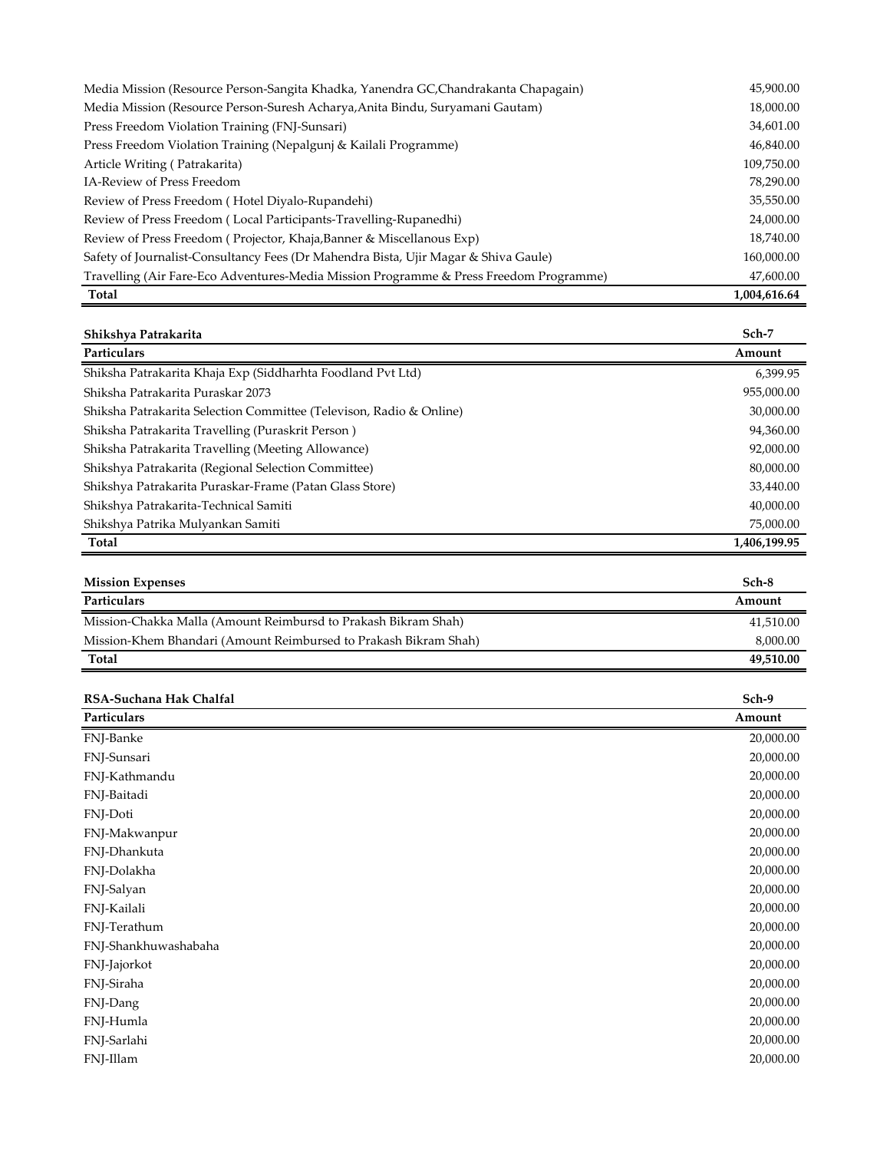| Media Mission (Resource Person-Sangita Khadka, Yanendra GC, Chandrakanta Chapagain)    | 45,900.00    |
|----------------------------------------------------------------------------------------|--------------|
| Media Mission (Resource Person-Suresh Acharya, Anita Bindu, Suryamani Gautam)          | 18,000.00    |
| Press Freedom Violation Training (FNJ-Sunsari)                                         | 34,601.00    |
| Press Freedom Violation Training (Nepalgunj & Kailali Programme)                       | 46,840.00    |
| Article Writing (Patrakarita)                                                          | 109,750.00   |
| <b>IA-Review of Press Freedom</b>                                                      | 78,290.00    |
| Review of Press Freedom (Hotel Diyalo-Rupandehi)                                       | 35,550.00    |
| Review of Press Freedom (Local Participants-Travelling-Rupanedhi)                      | 24,000.00    |
| Review of Press Freedom (Projector, Khaja, Banner & Miscellanous Exp)                  | 18,740.00    |
| Safety of Journalist-Consultancy Fees (Dr Mahendra Bista, Ujir Magar & Shiva Gaule)    | 160,000.00   |
| Travelling (Air Fare-Eco Adventures-Media Mission Programme & Press Freedom Programme) | 47,600.00    |
| Total                                                                                  | 1,004,616.64 |

| Shikshya Patrakarita                                                | Sch-7        |
|---------------------------------------------------------------------|--------------|
| Particulars                                                         | Amount       |
| Shiksha Patrakarita Khaja Exp (Siddharhta Foodland Pvt Ltd)         | 6,399.95     |
| Shiksha Patrakarita Puraskar 2073                                   | 955,000.00   |
| Shiksha Patrakarita Selection Committee (Televison, Radio & Online) | 30,000.00    |
| Shiksha Patrakarita Travelling (Puraskrit Person)                   | 94,360.00    |
| Shiksha Patrakarita Travelling (Meeting Allowance)                  | 92,000.00    |
| Shikshya Patrakarita (Regional Selection Committee)                 | 80,000.00    |
| Shikshya Patrakarita Puraskar-Frame (Patan Glass Store)             | 33,440.00    |
| Shikshya Patrakarita-Technical Samiti                               | 40,000.00    |
| Shikshya Patrika Mulyankan Samiti                                   | 75,000.00    |
| Total                                                               | 1.406.199.95 |

| <b>Mission Expenses</b>                                          | Sch-8     |
|------------------------------------------------------------------|-----------|
| Particulars                                                      | Amount    |
| Mission-Chakka Malla (Amount Reimbursd to Prakash Bikram Shah)   | 41,510.00 |
| Mission-Khem Bhandari (Amount Reimbursed to Prakash Bikram Shah) | 8,000.00  |
| Total                                                            | 49,510.00 |

| RSA-Suchana Hak Chalfal | Sch-9     |
|-------------------------|-----------|
| Particulars             | Amount    |
| FNJ-Banke               | 20,000.00 |
| FNJ-Sunsari             | 20,000.00 |
| FNJ-Kathmandu           | 20,000.00 |
| FNJ-Baitadi             | 20,000.00 |
| FNJ-Doti                | 20,000.00 |
| FNJ-Makwanpur           | 20,000.00 |
| FNJ-Dhankuta            | 20,000.00 |
| FNJ-Dolakha             | 20,000.00 |
| FNJ-Salyan              | 20,000.00 |
| FNJ-Kailali             | 20,000.00 |
| FNJ-Terathum            | 20,000.00 |
| FNJ-Shankhuwashabaha    | 20,000.00 |
| FNJ-Jajorkot            | 20,000.00 |
| FNJ-Siraha              | 20,000.00 |
| FNJ-Dang                | 20,000.00 |
| FNJ-Humla               | 20,000.00 |
| FNJ-Sarlahi             | 20,000.00 |
| FNJ-Illam               | 20,000.00 |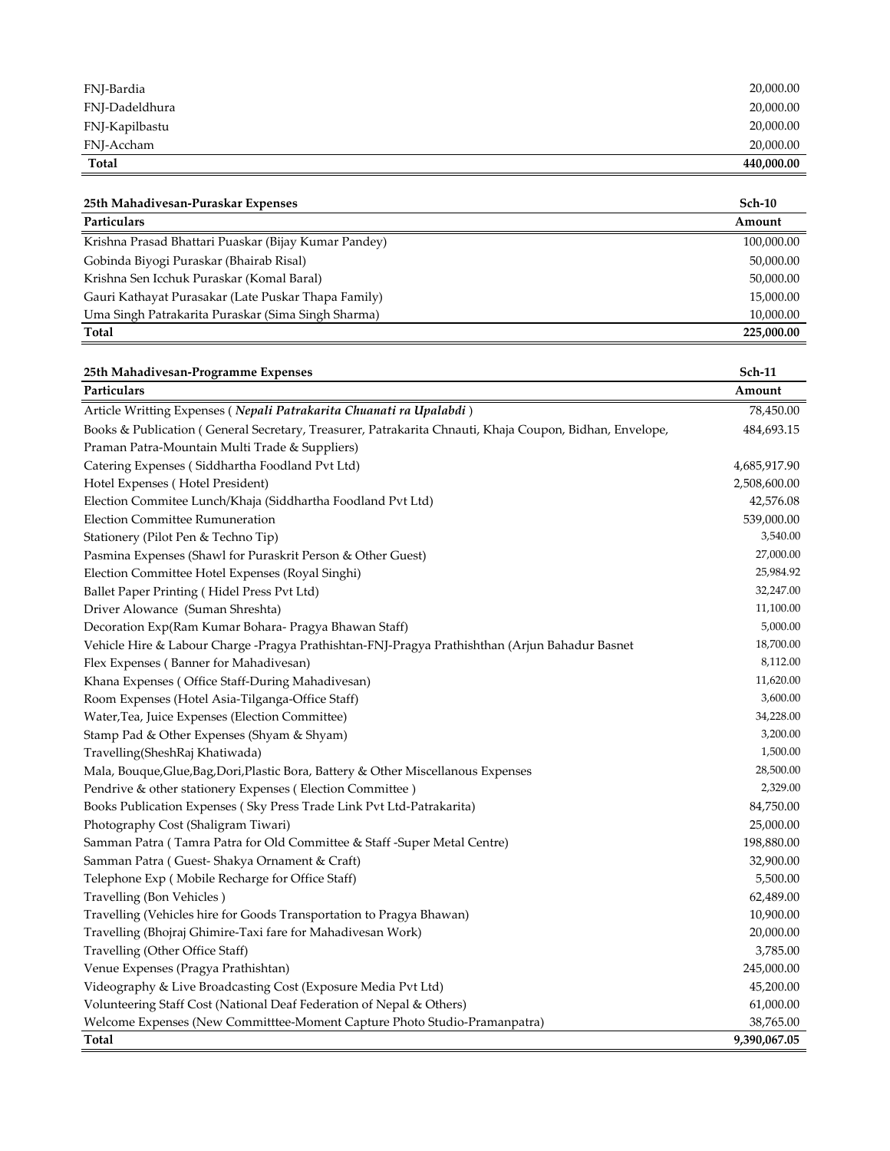| FNJ-Bardia     | 20,000.00  |
|----------------|------------|
| FNI-Dadeldhura | 20,000.00  |
| FNJ-Kapilbastu | 20,000.00  |
| FNJ-Accham     | 20,000.00  |
| <b>Total</b>   | 440,000.00 |

| 25th Mahadivesan-Puraskar Expenses                   | Sch-10     |
|------------------------------------------------------|------------|
| Particulars                                          | Amount     |
| Krishna Prasad Bhattari Puaskar (Bijay Kumar Pandey) | 100,000.00 |
| Gobinda Biyogi Puraskar (Bhairab Risal)              | 50,000.00  |
| Krishna Sen Icchuk Puraskar (Komal Baral)            | 50,000.00  |
| Gauri Kathayat Purasakar (Late Puskar Thapa Family)  | 15,000.00  |
| Uma Singh Patrakarita Puraskar (Sima Singh Sharma)   | 10,000.00  |
| Total                                                | 225,000.00 |

| 25th Mahadivesan-Programme Expenses                                                                     | Sch-11       |
|---------------------------------------------------------------------------------------------------------|--------------|
| Particulars                                                                                             | Amount       |
| Article Writting Expenses (Nepali Patrakarita Chuanati ra Upalabdi)                                     | 78,450.00    |
| Books & Publication (General Secretary, Treasurer, Patrakarita Chnauti, Khaja Coupon, Bidhan, Envelope, | 484,693.15   |
| Praman Patra-Mountain Multi Trade & Suppliers)                                                          |              |
| Catering Expenses (Siddhartha Foodland Pvt Ltd)                                                         | 4,685,917.90 |
| Hotel Expenses (Hotel President)                                                                        | 2,508,600.00 |
| Election Commitee Lunch/Khaja (Siddhartha Foodland Pvt Ltd)                                             | 42,576.08    |
| <b>Election Committee Rumuneration</b>                                                                  | 539,000.00   |
| Stationery (Pilot Pen & Techno Tip)                                                                     | 3,540.00     |
| Pasmina Expenses (Shawl for Puraskrit Person & Other Guest)                                             | 27,000.00    |
| Election Committee Hotel Expenses (Royal Singhi)                                                        | 25,984.92    |
| Ballet Paper Printing (Hidel Press Pvt Ltd)                                                             | 32,247.00    |
| Driver Alowance (Suman Shreshta)                                                                        | 11,100.00    |
| Decoration Exp(Ram Kumar Bohara- Pragya Bhawan Staff)                                                   | 5,000.00     |
| Vehicle Hire & Labour Charge -Pragya Prathishtan-FNJ-Pragya Prathishthan (Arjun Bahadur Basnet          | 18,700.00    |
| Flex Expenses (Banner for Mahadivesan)                                                                  | 8,112.00     |
| Khana Expenses (Office Staff-During Mahadivesan)                                                        | 11,620.00    |
| Room Expenses (Hotel Asia-Tilganga-Office Staff)                                                        | 3,600.00     |
| Water, Tea, Juice Expenses (Election Committee)                                                         | 34,228.00    |
| Stamp Pad & Other Expenses (Shyam & Shyam)                                                              | 3,200.00     |
| Travelling(SheshRaj Khatiwada)                                                                          | 1,500.00     |
| Mala, Bouque, Glue, Bag, Dori, Plastic Bora, Battery & Other Miscellanous Expenses                      | 28,500.00    |
| Pendrive & other stationery Expenses (Election Committee)                                               | 2,329.00     |
| Books Publication Expenses (Sky Press Trade Link Pvt Ltd-Patrakarita)                                   | 84,750.00    |
| Photography Cost (Shaligram Tiwari)                                                                     | 25,000.00    |
| Samman Patra (Tamra Patra for Old Committee & Staff - Super Metal Centre)                               | 198,880.00   |
| Samman Patra (Guest-Shakya Ornament & Craft)                                                            | 32,900.00    |
| Telephone Exp (Mobile Recharge for Office Staff)                                                        | 5,500.00     |
| Travelling (Bon Vehicles)                                                                               | 62,489.00    |
| Travelling (Vehicles hire for Goods Transportation to Pragya Bhawan)                                    | 10,900.00    |
| Travelling (Bhojraj Ghimire-Taxi fare for Mahadivesan Work)                                             | 20,000.00    |
| Travelling (Other Office Staff)                                                                         | 3,785.00     |
| Venue Expenses (Pragya Prathishtan)                                                                     | 245,000.00   |
| Videography & Live Broadcasting Cost (Exposure Media Pvt Ltd)                                           | 45,200.00    |
| Volunteering Staff Cost (National Deaf Federation of Nepal & Others)                                    | 61,000.00    |
| Welcome Expenses (New Committtee-Moment Capture Photo Studio-Pramanpatra)                               | 38,765.00    |
| Total                                                                                                   | 9,390,067.05 |